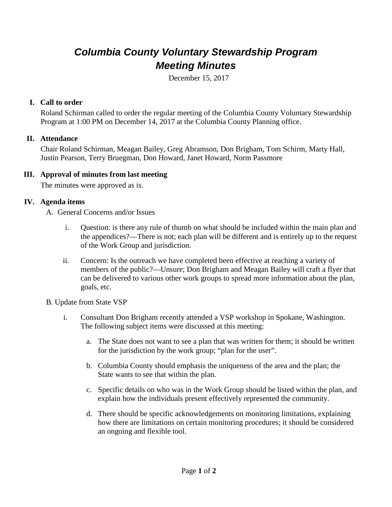# *Columbia County Voluntary Stewardship Program Meeting Minutes*

December 15, 2017

## **I. Call to order**

Roland Schirman called to order the regular meeting of the Columbia County Voluntary Stewardship Program at 1:00 PM on December 14, 2017 at the Columbia County Planning office.

#### **II. Attendance**

Chair Roland Schirman, Meagan Bailey, Greg Abramson, Don Brigham, Tom Schirm, Marty Hall, Justin Pearson, Terry Bruegman, Don Howard, Janet Howard, Norm Passmore

## **III. Approval of minutes from last meeting**

The minutes were approved as is.

## **IV. Agenda items**

- A. General Concerns and/or Issues
	- i. Question: is there any rule of thumb on what should be included within the main plan and the appendices?—There is not; each plan will be different and is entirely up to the request of the Work Group and jurisdiction.
	- ii. Concern: Is the outreach we have completed been effective at reaching a variety of members of the public?—Unsure; Don Brigham and Meagan Bailey will craft a flyer that can be delivered to various other work groups to spread more information about the plan, goals, etc.
- B. Update from State VSP
	- i. Consultant Don Brigham recently attended a VSP workshop in Spokane, Washington. The following subject items were discussed at this meeting:
		- a. The State does not want to see a plan that was written for them; it should be written for the jurisdiction by the work group; "plan for the user".
		- b. Columbia County should emphasis the uniqueness of the area and the plan; the State wants to see that within the plan.
		- c. Specific details on who was in the Work Group should be listed within the plan, and explain how the individuals present effectively represented the community.
		- d. There should be specific acknowledgements on monitoring limitations, explaining how there are limitations on certain monitoring procedures; it should be considered an ongoing and flexible tool.